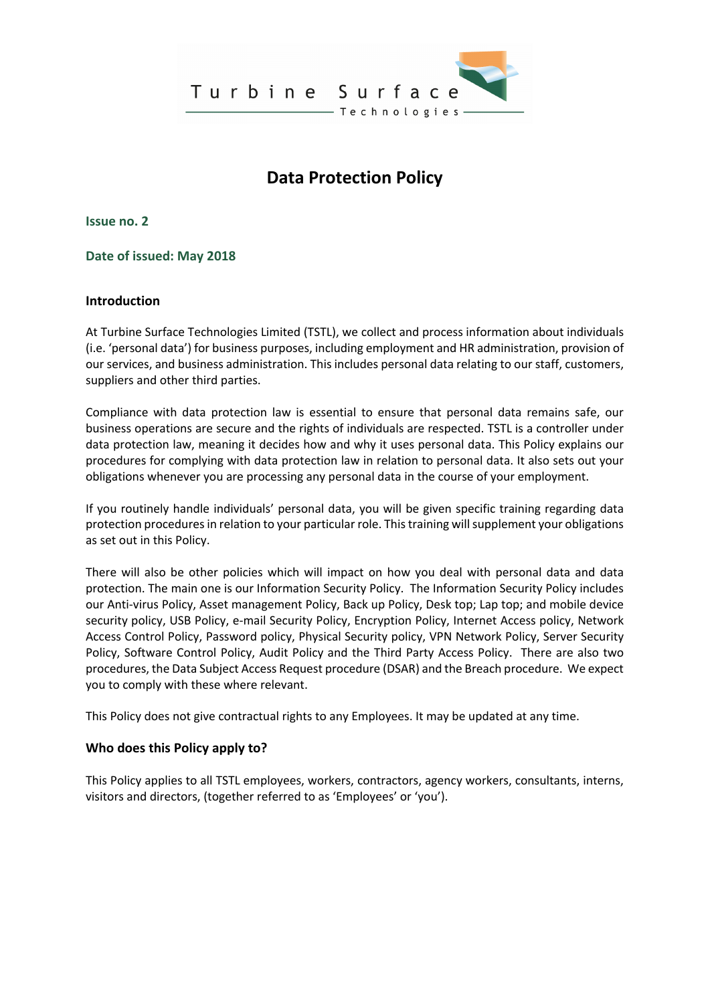

# **Data Protection Policy**

**Issue no. 2**

**Date of issued: May 2018**

## **Introduction**

At Turbine Surface Technologies Limited (TSTL), we collect and process information about individuals (i.e. 'personal data') for business purposes, including employment and HR administration, provision of our services, and business administration. This includes personal data relating to our staff, customers, suppliers and other third parties.

Compliance with data protection law is essential to ensure that personal data remains safe, our business operations are secure and the rights of individuals are respected. TSTL is a controller under data protection law, meaning it decides how and why it uses personal data. This Policy explains our procedures for complying with data protection law in relation to personal data. It also sets out your obligations whenever you are processing any personal data in the course of your employment.

If you routinely handle individuals' personal data, you will be given specific training regarding data protection procedures in relation to your particular role. This training will supplement your obligations as set out in this Policy.

There will also be other policies which will impact on how you deal with personal data and data protection. The main one is our Information Security Policy. The Information Security Policy includes our Anti-virus Policy, Asset management Policy, Back up Policy, Desk top; Lap top; and mobile device security policy, USB Policy, e-mail Security Policy, Encryption Policy, Internet Access policy, Network Access Control Policy, Password policy, Physical Security policy, VPN Network Policy, Server Security Policy, Software Control Policy, Audit Policy and the Third Party Access Policy. There are also two procedures, the Data Subject Access Request procedure (DSAR) and the Breach procedure. We expect you to comply with these where relevant.

This Policy does not give contractual rights to any Employees. It may be updated at any time.

#### **Who does this Policy apply to?**

This Policy applies to all TSTL employees, workers, contractors, agency workers, consultants, interns, visitors and directors, (together referred to as 'Employees' or 'you').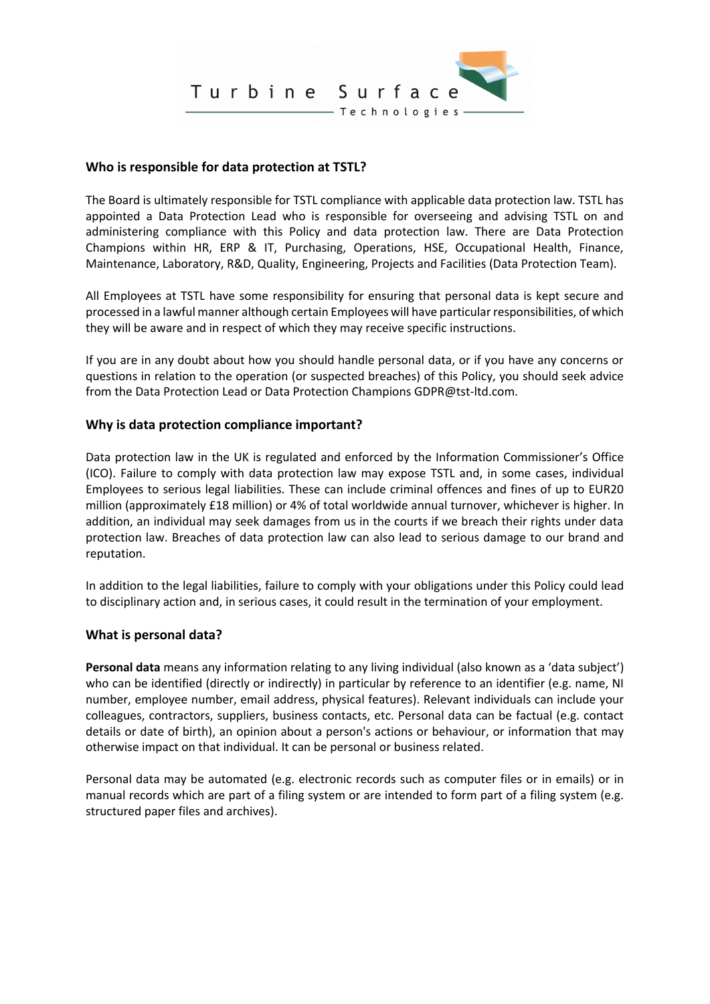

## **Who is responsible for data protection at TSTL?**

The Board is ultimately responsible for TSTL compliance with applicable data protection law. TSTL has appointed a Data Protection Lead who is responsible for overseeing and advising TSTL on and administering compliance with this Policy and data protection law. There are Data Protection Champions within HR, ERP & IT, Purchasing, Operations, HSE, Occupational Health, Finance, Maintenance, Laboratory, R&D, Quality, Engineering, Projects and Facilities (Data Protection Team).

All Employees at TSTL have some responsibility for ensuring that personal data is kept secure and processed in a lawful manner although certain Employees will have particular responsibilities, of which they will be aware and in respect of which they may receive specific instructions.

If you are in any doubt about how you should handle personal data, or if you have any concerns or questions in relation to the operation (or suspected breaches) of this Policy, you should seek advice from the Data Protection Lead or Data Protection Champions GDPR@tst-ltd.com.

## **Why is data protection compliance important?**

Data protection law in the UK is regulated and enforced by the Information Commissioner's Office (ICO). Failure to comply with data protection law may expose TSTL and, in some cases, individual Employees to serious legal liabilities. These can include criminal offences and fines of up to EUR20 million (approximately £18 million) or 4% of total worldwide annual turnover, whichever is higher. In addition, an individual may seek damages from us in the courts if we breach their rights under data protection law. Breaches of data protection law can also lead to serious damage to our brand and reputation.

In addition to the legal liabilities, failure to comply with your obligations under this Policy could lead to disciplinary action and, in serious cases, it could result in the termination of your employment.

#### **What is personal data?**

**Personal data** means any information relating to any living individual (also known as a 'data subject') who can be identified (directly or indirectly) in particular by reference to an identifier (e.g. name, NI number, employee number, email address, physical features). Relevant individuals can include your colleagues, contractors, suppliers, business contacts, etc. Personal data can be factual (e.g. contact details or date of birth), an opinion about a person's actions or behaviour, or information that may otherwise impact on that individual. It can be personal or business related.

Personal data may be automated (e.g. electronic records such as computer files or in emails) or in manual records which are part of a filing system or are intended to form part of a filing system (e.g. structured paper files and archives).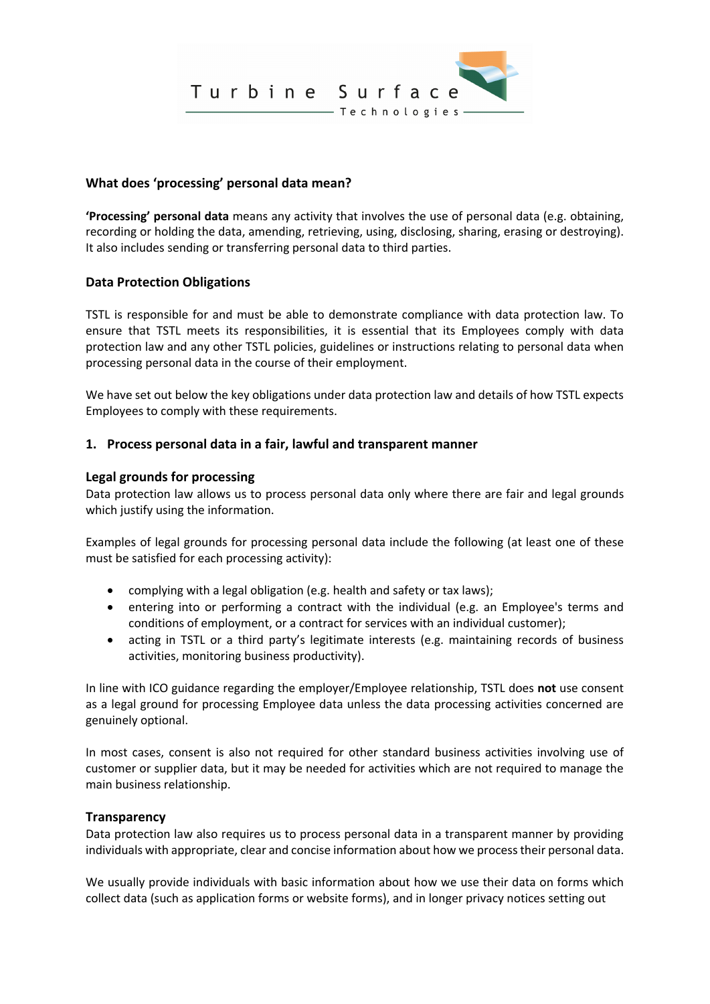

## **What does 'processing' personal data mean?**

**'Processing' personal data** means any activity that involves the use of personal data (e.g. obtaining, recording or holding the data, amending, retrieving, using, disclosing, sharing, erasing or destroying). It also includes sending or transferring personal data to third parties.

#### **Data Protection Obligations**

TSTL is responsible for and must be able to demonstrate compliance with data protection law. To ensure that TSTL meets its responsibilities, it is essential that its Employees comply with data protection law and any other TSTL policies, guidelines or instructions relating to personal data when processing personal data in the course of their employment.

We have set out below the key obligations under data protection law and details of how TSTL expects Employees to comply with these requirements.

#### **1. Process personal data in a fair, lawful and transparent manner**

#### **Legal grounds for processing**

Data protection law allows us to process personal data only where there are fair and legal grounds which justify using the information.

Examples of legal grounds for processing personal data include the following (at least one of these must be satisfied for each processing activity):

- complying with a legal obligation (e.g. health and safety or tax laws);
- entering into or performing a contract with the individual (e.g. an Employee's terms and conditions of employment, or a contract for services with an individual customer);
- acting in TSTL or a third party's legitimate interests (e.g. maintaining records of business activities, monitoring business productivity).

In line with ICO guidance regarding the employer/Employee relationship, TSTL does **not** use consent as a legal ground for processing Employee data unless the data processing activities concerned are genuinely optional.

In most cases, consent is also not required for other standard business activities involving use of customer or supplier data, but it may be needed for activities which are not required to manage the main business relationship.

#### **Transparency**

Data protection law also requires us to process personal data in a transparent manner by providing individuals with appropriate, clear and concise information about how we process their personal data.

We usually provide individuals with basic information about how we use their data on forms which collect data (such as application forms or website forms), and in longer privacy notices setting out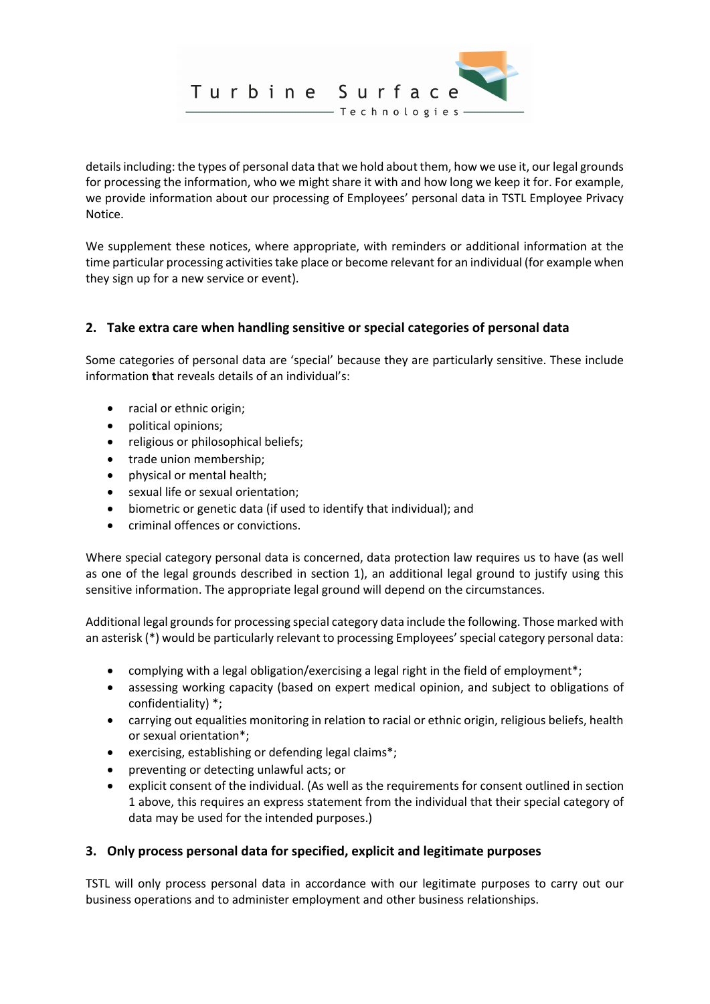

details including: the types of personal data that we hold about them, how we use it, our legal grounds for processing the information, who we might share it with and how long we keep it for. For example, we provide information about our processing of Employees' personal data in TSTL Employee Privacy Notice.

We supplement these notices, where appropriate, with reminders or additional information at the time particular processing activities take place or become relevant for an individual (for example when they sign up for a new service or event).

# **2. Take extra care when handling sensitive or special categories of personal data**

Some categories of personal data are 'special' because they are particularly sensitive. These include information **t**hat reveals details of an individual's:

- racial or ethnic origin;
- political opinions;
- religious or philosophical beliefs;
- trade union membership;
- physical or mental health;
- sexual life or sexual orientation;
- biometric or genetic data (if used to identify that individual); and
- criminal offences or convictions.

Where special category personal data is concerned, data protection law requires us to have (as well as one of the legal grounds described in section 1), an additional legal ground to justify using this sensitive information. The appropriate legal ground will depend on the circumstances.

Additional legal grounds for processing special category data include the following. Those marked with an asterisk (\*) would be particularly relevant to processing Employees' special category personal data:

- complying with a legal obligation/exercising a legal right in the field of employment\*;
- assessing working capacity (based on expert medical opinion, and subject to obligations of confidentiality) \*;
- carrying out equalities monitoring in relation to racial or ethnic origin, religious beliefs, health or sexual orientation\*;
- exercising, establishing or defending legal claims\*;
- preventing or detecting unlawful acts; or
- explicit consent of the individual. (As well as the requirements for consent outlined in section 1 above, this requires an express statement from the individual that their special category of data may be used for the intended purposes.)

## **3. Only process personal data for specified, explicit and legitimate purposes**

TSTL will only process personal data in accordance with our legitimate purposes to carry out our business operations and to administer employment and other business relationships.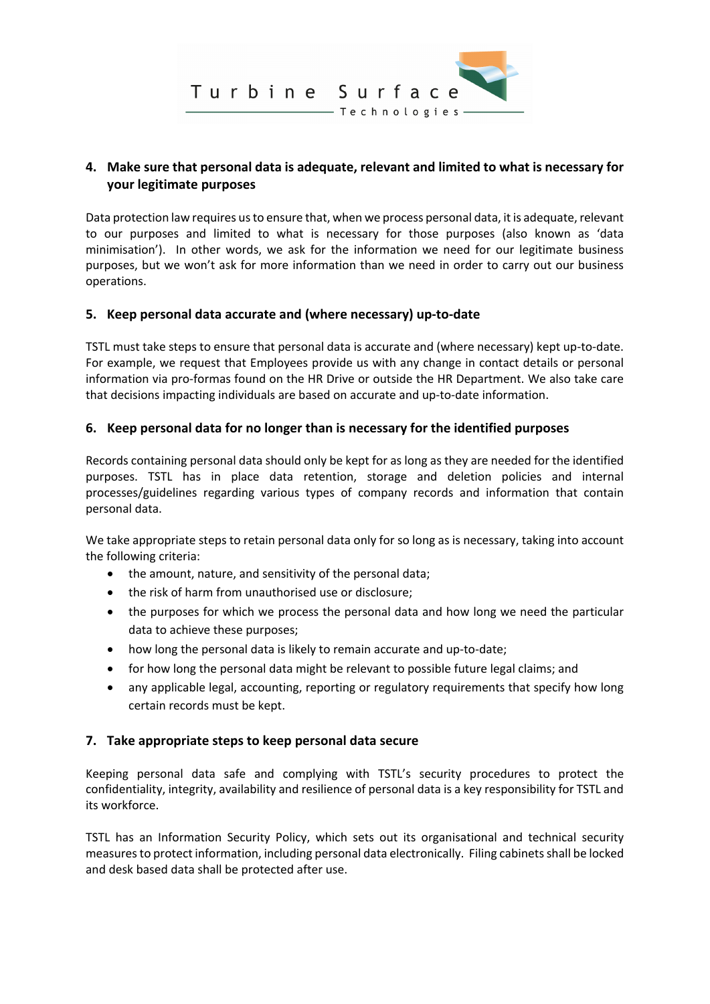

# **4. Make sure that personal data is adequate, relevant and limited to what is necessary for your legitimate purposes**

Data protection law requires us to ensure that, when we process personal data, it is adequate, relevant to our purposes and limited to what is necessary for those purposes (also known as 'data minimisation'). In other words, we ask for the information we need for our legitimate business purposes, but we won't ask for more information than we need in order to carry out our business operations.

## **5. Keep personal data accurate and (where necessary) up-to-date**

TSTL must take steps to ensure that personal data is accurate and (where necessary) kept up-to-date. For example, we request that Employees provide us with any change in contact details or personal information via pro-formas found on the HR Drive or outside the HR Department. We also take care that decisions impacting individuals are based on accurate and up-to-date information.

## **6. Keep personal data for no longer than is necessary for the identified purposes**

Records containing personal data should only be kept for as long as they are needed for the identified purposes. TSTL has in place data retention, storage and deletion policies and internal processes/guidelines regarding various types of company records and information that contain personal data.

We take appropriate steps to retain personal data only for so long as is necessary, taking into account the following criteria:

- the amount, nature, and sensitivity of the personal data;
- the risk of harm from unauthorised use or disclosure;
- the purposes for which we process the personal data and how long we need the particular data to achieve these purposes;
- how long the personal data is likely to remain accurate and up-to-date;
- for how long the personal data might be relevant to possible future legal claims; and
- any applicable legal, accounting, reporting or regulatory requirements that specify how long certain records must be kept.

## **7. Take appropriate steps to keep personal data secure**

Keeping personal data safe and complying with TSTL's security procedures to protect the confidentiality, integrity, availability and resilience of personal data is a key responsibility for TSTL and its workforce.

TSTL has an Information Security Policy, which sets out its organisational and technical security measures to protect information, including personal data electronically. Filing cabinets shall be locked and desk based data shall be protected after use.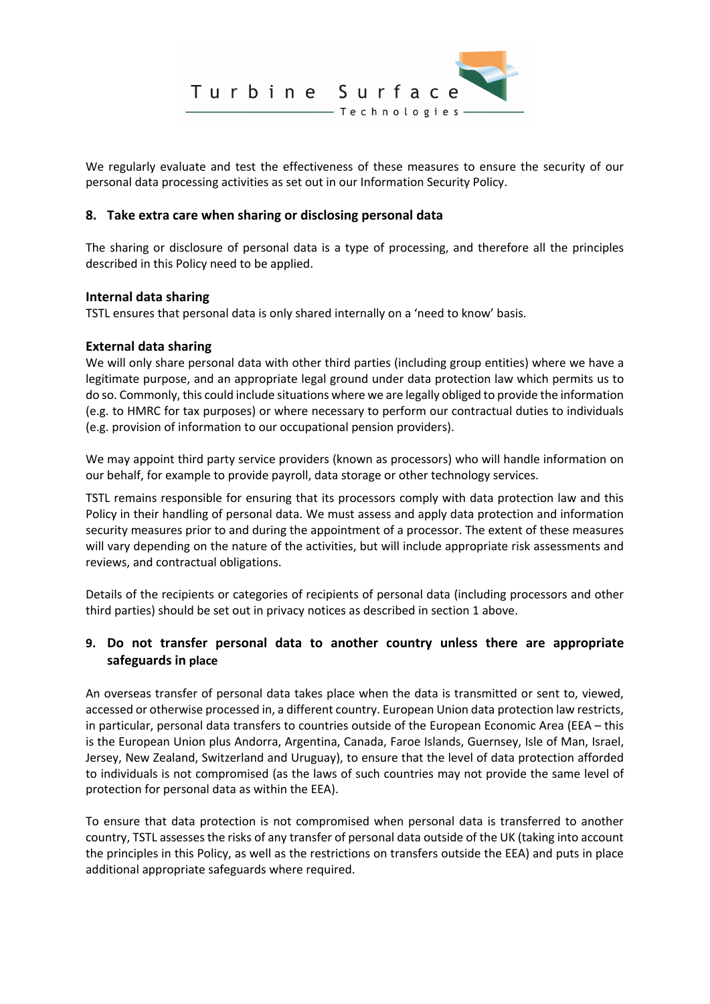

We regularly evaluate and test the effectiveness of these measures to ensure the security of our personal data processing activities as set out in our Information Security Policy.

### **8. Take extra care when sharing or disclosing personal data**

The sharing or disclosure of personal data is a type of processing, and therefore all the principles described in this Policy need to be applied.

## **Internal data sharing**

TSTL ensures that personal data is only shared internally on a 'need to know' basis.

## **External data sharing**

We will only share personal data with other third parties (including group entities) where we have a legitimate purpose, and an appropriate legal ground under data protection law which permits us to do so. Commonly, this could include situations where we are legally obliged to provide the information (e.g. to HMRC for tax purposes) or where necessary to perform our contractual duties to individuals (e.g. provision of information to our occupational pension providers).

We may appoint third party service providers (known as processors) who will handle information on our behalf, for example to provide payroll, data storage or other technology services.

TSTL remains responsible for ensuring that its processors comply with data protection law and this Policy in their handling of personal data. We must assess and apply data protection and information security measures prior to and during the appointment of a processor. The extent of these measures will vary depending on the nature of the activities, but will include appropriate risk assessments and reviews, and contractual obligations.

Details of the recipients or categories of recipients of personal data (including processors and other third parties) should be set out in privacy notices as described in section 1 above.

# **9. Do not transfer personal data to another country unless there are appropriate safeguards in place**

An overseas transfer of personal data takes place when the data is transmitted or sent to, viewed, accessed or otherwise processed in, a different country. European Union data protection law restricts, in particular, personal data transfers to countries outside of the European Economic Area (EEA – this is the European Union plus Andorra, Argentina, Canada, Faroe Islands, Guernsey, Isle of Man, Israel, Jersey, New Zealand, Switzerland and Uruguay), to ensure that the level of data protection afforded to individuals is not compromised (as the laws of such countries may not provide the same level of protection for personal data as within the EEA).

To ensure that data protection is not compromised when personal data is transferred to another country, TSTL assesses the risks of any transfer of personal data outside of the UK (taking into account the principles in this Policy, as well as the restrictions on transfers outside the EEA) and puts in place additional appropriate safeguards where required.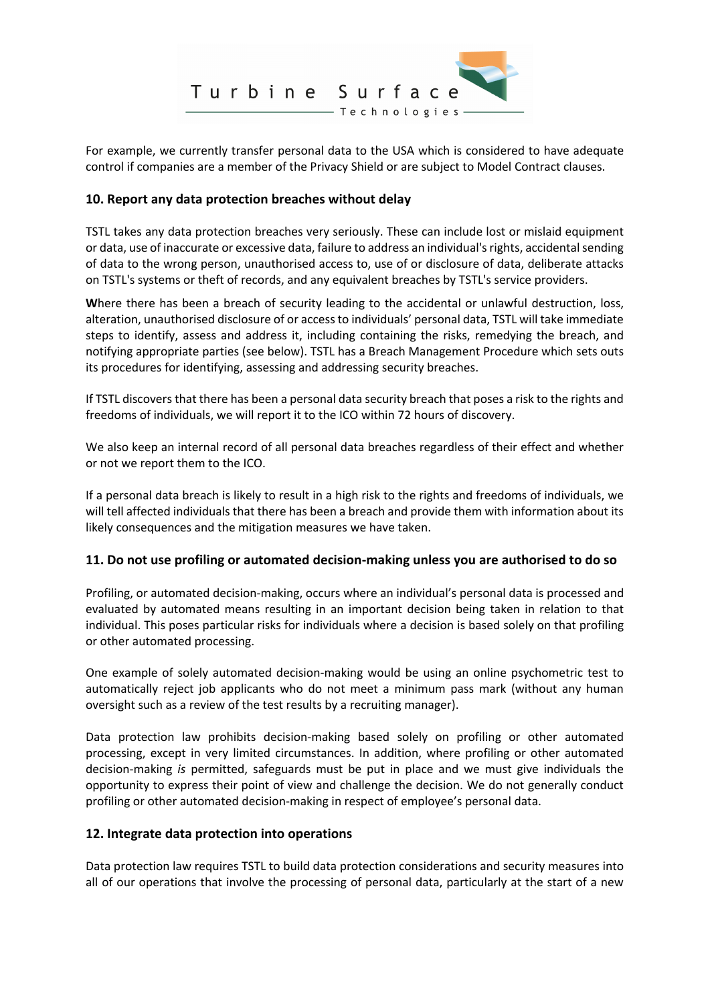

For example, we currently transfer personal data to the USA which is considered to have adequate control if companies are a member of the Privacy Shield or are subject to Model Contract clauses.

## **10. Report any data protection breaches without delay**

TSTL takes any data protection breaches very seriously. These can include lost or mislaid equipment or data, use of inaccurate or excessive data, failure to address an individual's rights, accidental sending of data to the wrong person, unauthorised access to, use of or disclosure of data, deliberate attacks on TSTL's systems or theft of records, and any equivalent breaches by TSTL's service providers.

**W**here there has been a breach of security leading to the accidental or unlawful destruction, loss, alteration, unauthorised disclosure of or access to individuals' personal data, TSTL will take immediate steps to identify, assess and address it, including containing the risks, remedying the breach, and notifying appropriate parties (see below). TSTL has a Breach Management Procedure which sets outs its procedures for identifying, assessing and addressing security breaches.

If TSTL discovers that there has been a personal data security breach that poses a risk to the rights and freedoms of individuals, we will report it to the ICO within 72 hours of discovery.

We also keep an internal record of all personal data breaches regardless of their effect and whether or not we report them to the ICO.

If a personal data breach is likely to result in a high risk to the rights and freedoms of individuals, we will tell affected individuals that there has been a breach and provide them with information about its likely consequences and the mitigation measures we have taken.

#### **11. Do not use profiling or automated decision-making unless you are authorised to do so**

Profiling, or automated decision-making, occurs where an individual's personal data is processed and evaluated by automated means resulting in an important decision being taken in relation to that individual. This poses particular risks for individuals where a decision is based solely on that profiling or other automated processing.

One example of solely automated decision-making would be using an online psychometric test to automatically reject job applicants who do not meet a minimum pass mark (without any human oversight such as a review of the test results by a recruiting manager).

Data protection law prohibits decision-making based solely on profiling or other automated processing, except in very limited circumstances. In addition, where profiling or other automated decision-making *is* permitted, safeguards must be put in place and we must give individuals the opportunity to express their point of view and challenge the decision. We do not generally conduct profiling or other automated decision-making in respect of employee's personal data.

## **12. Integrate data protection into operations**

Data protection law requires TSTL to build data protection considerations and security measures into all of our operations that involve the processing of personal data, particularly at the start of a new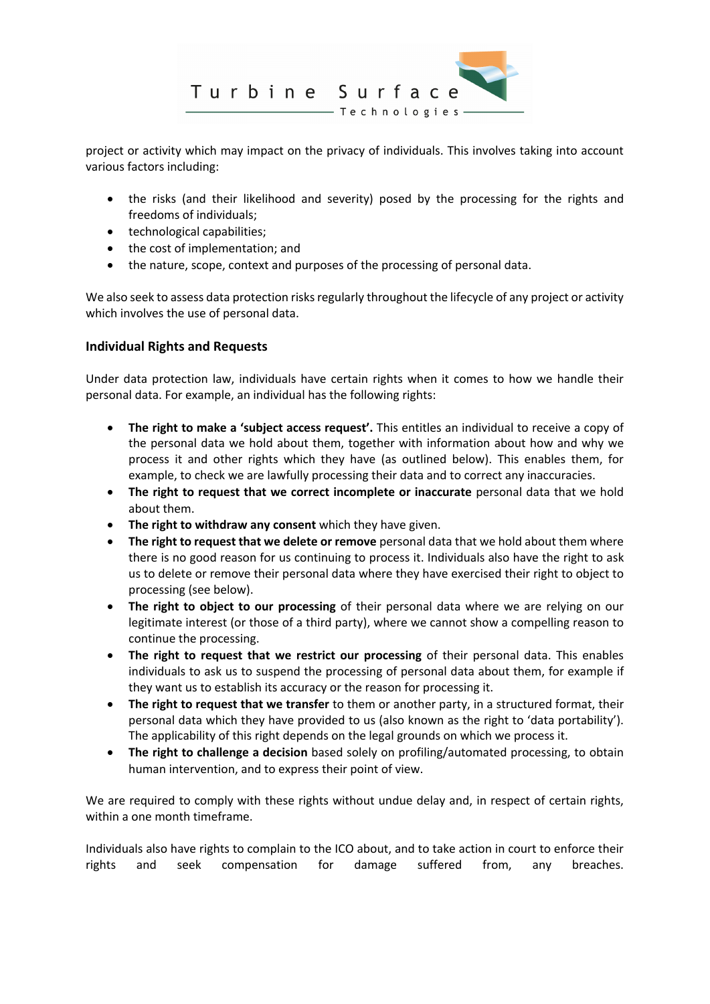

project or activity which may impact on the privacy of individuals. This involves taking into account various factors including:

- the risks (and their likelihood and severity) posed by the processing for the rights and freedoms of individuals;
- technological capabilities;
- the cost of implementation; and
- the nature, scope, context and purposes of the processing of personal data.

We also seek to assess data protection risks regularly throughout the lifecycle of any project or activity which involves the use of personal data.

## **Individual Rights and Requests**

Under data protection law, individuals have certain rights when it comes to how we handle their personal data. For example, an individual has the following rights:

- **The right to make a 'subject access request'.** This entitles an individual to receive a copy of the personal data we hold about them, together with information about how and why we process it and other rights which they have (as outlined below). This enables them, for example, to check we are lawfully processing their data and to correct any inaccuracies.
- **The right to request that we correct incomplete or inaccurate** personal data that we hold about them.
- **The right to withdraw any consent** which they have given.
- **The right to request that we delete or remove** personal data that we hold about them where there is no good reason for us continuing to process it. Individuals also have the right to ask us to delete or remove their personal data where they have exercised their right to object to processing (see below).
- **The right to object to our processing** of their personal data where we are relying on our legitimate interest (or those of a third party), where we cannot show a compelling reason to continue the processing.
- **The right to request that we restrict our processing** of their personal data. This enables individuals to ask us to suspend the processing of personal data about them, for example if they want us to establish its accuracy or the reason for processing it.
- **The right to request that we transfer** to them or another party, in a structured format, their personal data which they have provided to us (also known as the right to 'data portability'). The applicability of this right depends on the legal grounds on which we process it.
- **The right to challenge a decision** based solely on profiling/automated processing, to obtain human intervention, and to express their point of view.

We are required to comply with these rights without undue delay and, in respect of certain rights, within a one month timeframe.

Individuals also have rights to complain to the ICO about, and to take action in court to enforce their rights and seek compensation for damage suffered from, any breaches.